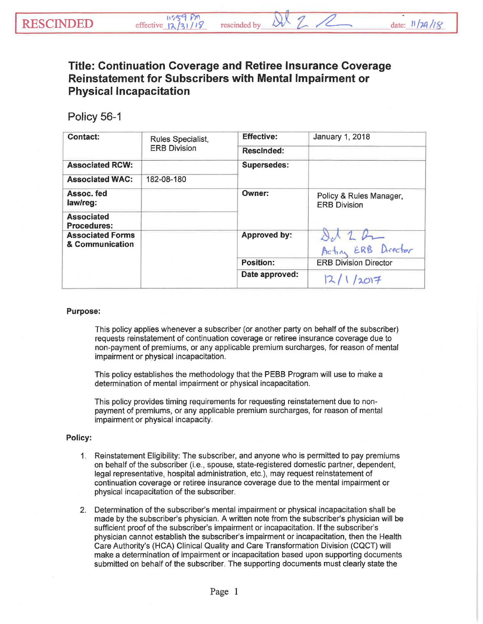## **Title: Continuation Coverage and Retiree Insurance Coverage Reinstatement for Subscribers with Mental Impairment or Physical Incapacitation**

## Policy 56-1

| <b>Contact:</b>                            | Rules Specialist,<br><b>ERB Division</b> | <b>Effective:</b>  | <b>January 1, 2018</b>                         |
|--------------------------------------------|------------------------------------------|--------------------|------------------------------------------------|
|                                            |                                          | <b>Rescinded:</b>  |                                                |
| <b>Associated RCW:</b>                     |                                          | <b>Supersedes:</b> |                                                |
| <b>Associated WAC:</b>                     | 182-08-180                               |                    |                                                |
| Assoc. fed<br>law/reg:                     |                                          | Owner:             | Policy & Rules Manager,<br><b>ERB Division</b> |
| <b>Associated</b><br><b>Procedures:</b>    |                                          |                    |                                                |
| <b>Associated Forms</b><br>& Communication |                                          | Approved by:       | Actin ERB Drector                              |
|                                            |                                          | <b>Position:</b>   | <b>ERB Division Director</b>                   |
|                                            |                                          | Date approved:     | 2017                                           |

## Purpose:

This policy applies whenever a subscriber (or another party on behalf of the subscriber) requests reinstatement of continuation coverage or retiree insurance coverage due to non-payment of premiums, or any applicable premium surcharges, for reason of mental impairment or physical incapacitation.

This policy establishes the methodology that the PEBB Program will use to make a determination of mental impairment or physical incapacitation.

This policy provides timing requirements for requesting reinstatement due to nonpayment of premiums, or any applicable premium surcharges, for reason of mental impairment or physical incapacity.

## Policy:

- 1. Reinstatement Eligibility: The subscriber, and anyone who is permitted to pay premiums on behalf of the subscriber (i.e., spouse, state-registered domestic partner, dependent, legal representative, hospital administration, etc.), may request reinstatement of continuation coverage or retiree insurance coverage due to the mental impairment or physical incapacitation of the subscriber.
- 2. Determination of the subscriber's mental impairment or physical incapacitation shall be made by the subscriber's physician. A written note from the subscriber's physician will be sufficient proof of the subscriber's impairment or incapacitation. If the subscriber's physician cannot establish the subscriber's impairment or incapacitation, then the Health Care Authority's (HCA) Clinical Quality and Care Transformation Division (CQCT) will make a determination of impairment or incapacitation based upon supporting documents submitted on behalf of the subscriber. The supporting documents must clearly state the